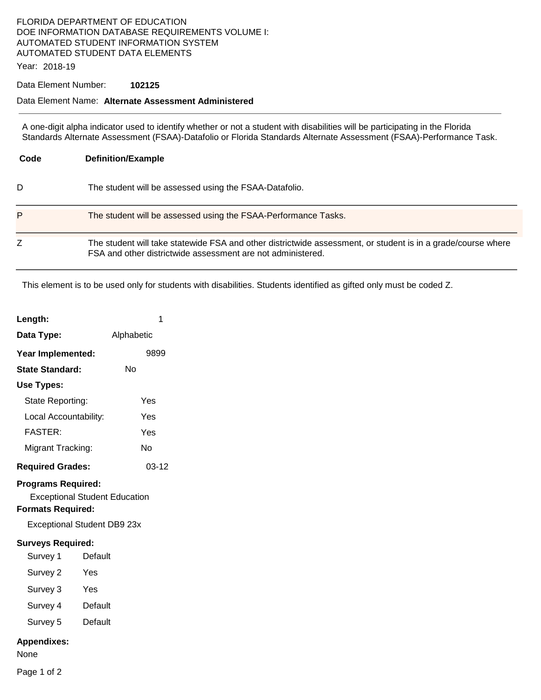## FLORIDA DEPARTMENT OF EDUCATION DOE INFORMATION DATABASE REQUIREMENTS VOLUME I: AUTOMATED STUDENT INFORMATION SYSTEM AUTOMATED STUDENT DATA ELEMENTS

Year: 2018-19

#### Data Element Number: **102125**

### Data Element Name: **Alternate Assessment Administered**

A one-digit alpha indicator used to identify whether or not a student with disabilities will be participating in the Florida Standards Alternate Assessment (FSAA)-Datafolio or Florida Standards Alternate Assessment (FSAA)-Performance Task.

| Code | <b>Definition/Example</b>                                                                                                                                                   |
|------|-----------------------------------------------------------------------------------------------------------------------------------------------------------------------------|
| D    | The student will be assessed using the FSAA-Datafolio.                                                                                                                      |
| P    | The student will be assessed using the FSAA-Performance Tasks.                                                                                                              |
|      | The student will take statewide FSA and other districtwide assessment, or student is in a grade/course where<br>FSA and other districtwide assessment are not administered. |

This element is to be used only for students with disabilities. Students identified as gifted only must be coded Z.

| Length:                              | 1          |  |  |
|--------------------------------------|------------|--|--|
| Data Type:                           | Alphabetic |  |  |
| Year Implemented:                    | 9899       |  |  |
| <b>State Standard:</b>               | No         |  |  |
| Use Types:                           |            |  |  |
| State Reporting:                     | Yes        |  |  |
| Local Accountability:                | Yes        |  |  |
| <b>FASTER:</b>                       | Yes        |  |  |
| Migrant Tracking:                    | N٥         |  |  |
| <b>Required Grades:</b>              | $03-12$    |  |  |
| <b>Programs Required:</b>            |            |  |  |
| <b>Exceptional Student Education</b> |            |  |  |
| <b>Formats Required:</b>             |            |  |  |
| Exceptional Student DB9 23x          |            |  |  |

### **Surveys Required:**

- Survey 1 Default
- Survey 2 Yes
- Survey 3 Yes
- Survey 4 Default
- Survey 5 Default

#### **Appendixes:**

None

Page 1 of 2